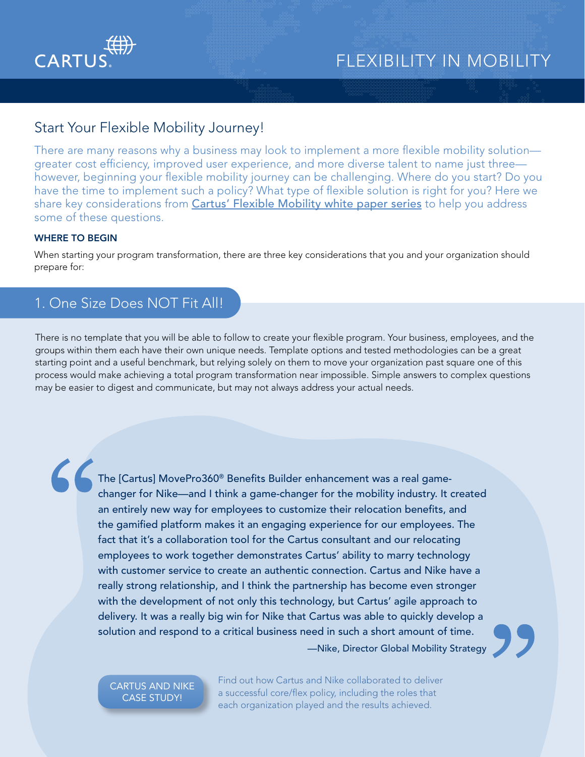

## Start Your Flexible Mobility Journey!

There are many reasons why a business may look to implement a more flexible mobility solution greater cost efficiency, improved user experience, and more diverse talent to name just three however, beginning your flexible mobility journey can be challenging. Where do you start? Do you have the time to implement such a policy? What type of flexible solution is right for you? Here we share key considerations from *[Cartus' Flexible Mobility white paper series](https://www.cartus.com/en/relocation/resource/flexible-mobility-choosing-direction-change)* to help you address some of these questions.

### WHERE TO BEGIN

When starting your program transformation, there are three key considerations that you and your organization should prepare for:

## 1. One Size Does NOT Fit All!

There is no template that you will be able to follow to create your flexible program. Your business, employees, and the groups within them each have their own unique needs. Template options and tested methodologies can be a great starting point and a useful benchmark, but relying solely on them to move your organization past square one of this process would make achieving a total program transformation near impossible. Simple answers to complex questions may be easier to digest and communicate, but may not always address your actual needs.

The [Cartus] MovePro360® Benefits Builder enhancement was a real gamechanger for Nike—and I think a game-changer for the mobility industry. It created an entirely new way for employees to customize their relocation benefits, and the gamified platform makes it an engaging experience for our employees. The fact that it's a collaboration tool for the Cartus consultant and our relocating employees to work together demonstrates Cartus' ability to marry technology with customer service to create an authentic connection. Cartus and Nike have a really strong relationship, and I think the partnership has become even stronger with the development of not only this technology, but Cartus' agile approach to delivery. It was a really big win for Nike that Cartus was able to quickly develop a solution and respond to a critical business need in such a short amount of time. —Nike, Director Global Mobility Strategy

[CARTUS AND NIKE](https://cartus.com/files/4516/2160/1715/Nike_and_Cartus-A_Core-Flex_Collaboration-2021-05.pdf) CASE STUDY!

Find out how Cartus and Nike collaborated to deliver a successful core/flex policy, including the roles that each organization played and the results achieved.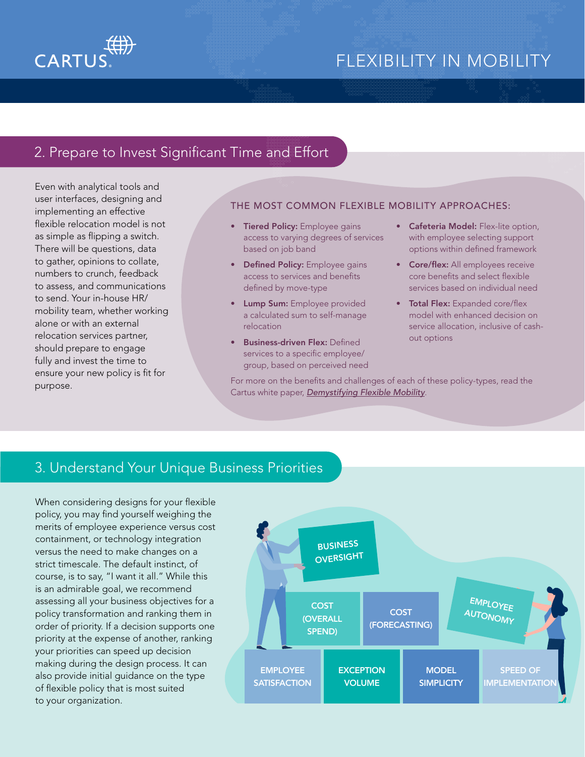



## 2. Prepare to Invest Significant Time and Effort

Even with analytical tools and user interfaces, designing and implementing an effective flexible relocation model is not as simple as flipping a switch. There will be questions, data to gather, opinions to collate, numbers to crunch, feedback to assess, and communications to send. Your in-house HR/ mobility team, whether working alone or with an external relocation services partner, should prepare to engage fully and invest the time to ensure your new policy is fit for purpose.

### THE MOST COMMON FLEXIBLE MOBILITY APPROACHES:

- Tiered Policy: Employee gains access to varying degrees of services based on job band
- Defined Policy: Employee gains access to services and benefits defined by move-type
- Lump Sum: Employee provided a calculated sum to self-manage relocation
- Business-driven Flex: Defined services to a specific employee/ group, based on perceived need
- **Cafeteria Model:** Flex-lite option, with employee selecting support options within defined framework
- **Core/flex:** All employees receive core benefits and select flexible services based on individual need
- Total Flex: Expanded core/flex model with enhanced decision on service allocation, inclusive of cashout options

For more on the benefits and challenges of each of these policy-types, read the Cartus white paper, *[Demystifying Flexible Mobility](https://cartus.com/files/3616/1971/3402/Demystifying_Flexible_Mobility_Dispelling_Myths-2021-04.pdf).*

### 3. Understand Your Unique Business Priorities

When considering designs for your flexible policy, you may find yourself weighing the merits of employee experience versus cost containment, or technology integration versus the need to make changes on a strict timescale. The default instinct, of course, is to say, "I want it all." While this is an admirable goal, we recommend assessing all your business objectives for a policy transformation and ranking them in order of priority. If a decision supports one priority at the expense of another, ranking your priorities can speed up decision making during the design process. It can also provide initial guidance on the type of flexible policy that is most suited to your organization.